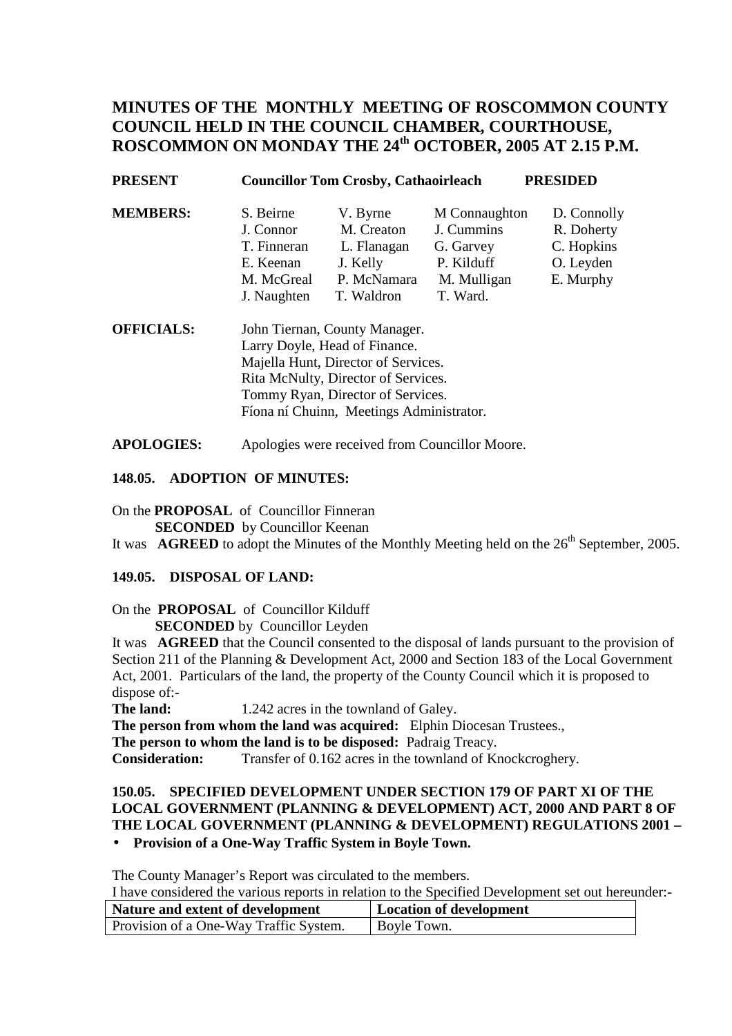# **MINUTES OF THE MONTHLY MEETING OF ROSCOMMON COUNTY COUNCIL HELD IN THE COUNCIL CHAMBER, COURTHOUSE, ROSCOMMON ON MONDAY THE 24th OCTOBER, 2005 AT 2.15 P.M.**

| <b>PRESENT</b>    | <b>PRESIDED</b><br><b>Councillor Tom Crosby, Cathaoirleach</b> |                        |                             |                           |
|-------------------|----------------------------------------------------------------|------------------------|-----------------------------|---------------------------|
| <b>MEMBERS:</b>   | S. Beirne<br>J. Connor                                         | V. Byrne<br>M. Creaton | M Connaughton<br>J. Cummins | D. Connolly<br>R. Doherty |
|                   | T. Finneran                                                    | L. Flanagan            | G. Garvey                   | C. Hopkins                |
|                   | E. Keenan                                                      | J. Kelly               | P. Kilduff                  | O. Leyden                 |
|                   | M. McGreal                                                     | P. McNamara            | M. Mulligan                 | E. Murphy                 |
|                   | J. Naughten                                                    | T. Waldron             | T. Ward.                    |                           |
| <b>OFFICIALS:</b> | John Tiernan, County Manager.                                  |                        |                             |                           |
|                   | Larry Doyle, Head of Finance.                                  |                        |                             |                           |
|                   | Majella Hunt, Director of Services.                            |                        |                             |                           |
|                   | Rita McNulty, Director of Services.                            |                        |                             |                           |

**APOLOGIES:** Apologies were received from Councillor Moore.

Tommy Ryan, Director of Services.

Fíona ní Chuinn, Meetings Administrator.

### **148.05. ADOPTION OF MINUTES:**

On the **PROPOSAL** of Councillor Finneran

**SECONDED** by Councillor Keenan

It was **AGREED** to adopt the Minutes of the Monthly Meeting held on the 26<sup>th</sup> September, 2005.

### **149.05. DISPOSAL OF LAND:**

On the **PROPOSAL** of Councillor Kilduff

**SECONDED** by Councillor Leyden

It was **AGREED** that the Council consented to the disposal of lands pursuant to the provision of Section 211 of the Planning & Development Act, 2000 and Section 183 of the Local Government Act, 2001. Particulars of the land, the property of the County Council which it is proposed to dispose of:-

**The land:** 1.242 acres in the townland of Galey.

**The person from whom the land was acquired:** Elphin Diocesan Trustees.,

**The person to whom the land is to be disposed:** Padraig Treacy.

**Consideration:** Transfer of 0.162 acres in the townland of Knockcroghery.

# **150.05. SPECIFIED DEVELOPMENT UNDER SECTION 179 OF PART XI OF THE LOCAL GOVERNMENT (PLANNING & DEVELOPMENT) ACT, 2000 AND PART 8 OF THE LOCAL GOVERNMENT (PLANNING & DEVELOPMENT) REGULATIONS 2001 –**

# • **Provision of a One-Way Traffic System in Boyle Town.**

The County Manager's Report was circulated to the members.

I have considered the various reports in relation to the Specified Development set out hereunder:-

| Nature and extent of development       | Location of development |
|----------------------------------------|-------------------------|
| Provision of a One-Way Traffic System. | <b>Boyle Town.</b>      |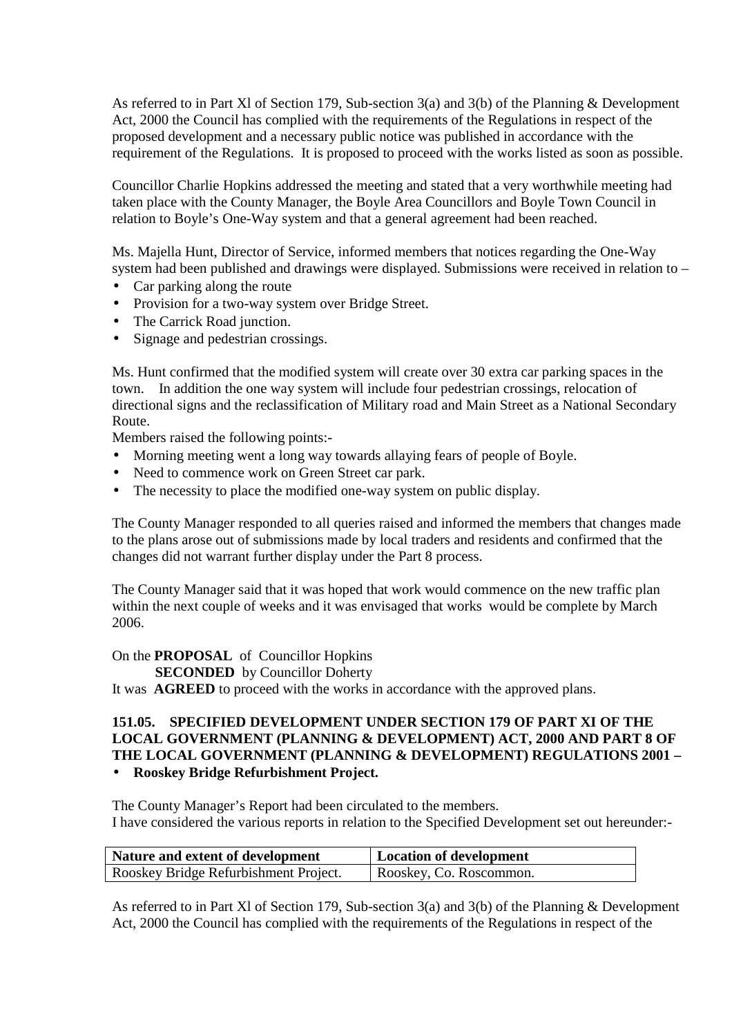As referred to in Part Xl of Section 179, Sub-section 3(a) and 3(b) of the Planning & Development Act, 2000 the Council has complied with the requirements of the Regulations in respect of the proposed development and a necessary public notice was published in accordance with the requirement of the Regulations. It is proposed to proceed with the works listed as soon as possible.

Councillor Charlie Hopkins addressed the meeting and stated that a very worthwhile meeting had taken place with the County Manager, the Boyle Area Councillors and Boyle Town Council in relation to Boyle's One-Way system and that a general agreement had been reached.

Ms. Majella Hunt, Director of Service, informed members that notices regarding the One-Way system had been published and drawings were displayed. Submissions were received in relation to –

- Car parking along the route
- Provision for a two-way system over Bridge Street.
- The Carrick Road junction.
- Signage and pedestrian crossings.

Ms. Hunt confirmed that the modified system will create over 30 extra car parking spaces in the town. In addition the one way system will include four pedestrian crossings, relocation of directional signs and the reclassification of Military road and Main Street as a National Secondary Route.

Members raised the following points:-

- Morning meeting went a long way towards allaying fears of people of Boyle.
- Need to commence work on Green Street car park.
- The necessity to place the modified one-way system on public display.

The County Manager responded to all queries raised and informed the members that changes made to the plans arose out of submissions made by local traders and residents and confirmed that the changes did not warrant further display under the Part 8 process.

The County Manager said that it was hoped that work would commence on the new traffic plan within the next couple of weeks and it was envisaged that works would be complete by March 2006.

On the **PROPOSAL** of Councillor Hopkins

**SECONDED** by Councillor Doherty

It was **AGREED** to proceed with the works in accordance with the approved plans.

# **151.05. SPECIFIED DEVELOPMENT UNDER SECTION 179 OF PART XI OF THE LOCAL GOVERNMENT (PLANNING & DEVELOPMENT) ACT, 2000 AND PART 8 OF THE LOCAL GOVERNMENT (PLANNING & DEVELOPMENT) REGULATIONS 2001 –**

### • **Rooskey Bridge Refurbishment Project.**

The County Manager's Report had been circulated to the members. I have considered the various reports in relation to the Specified Development set out hereunder:-

| Nature and extent of development      | Location of development |
|---------------------------------------|-------------------------|
| Rooskey Bridge Refurbishment Project. | Rooskey, Co. Roscommon. |

As referred to in Part Xl of Section 179, Sub-section 3(a) and 3(b) of the Planning & Development Act, 2000 the Council has complied with the requirements of the Regulations in respect of the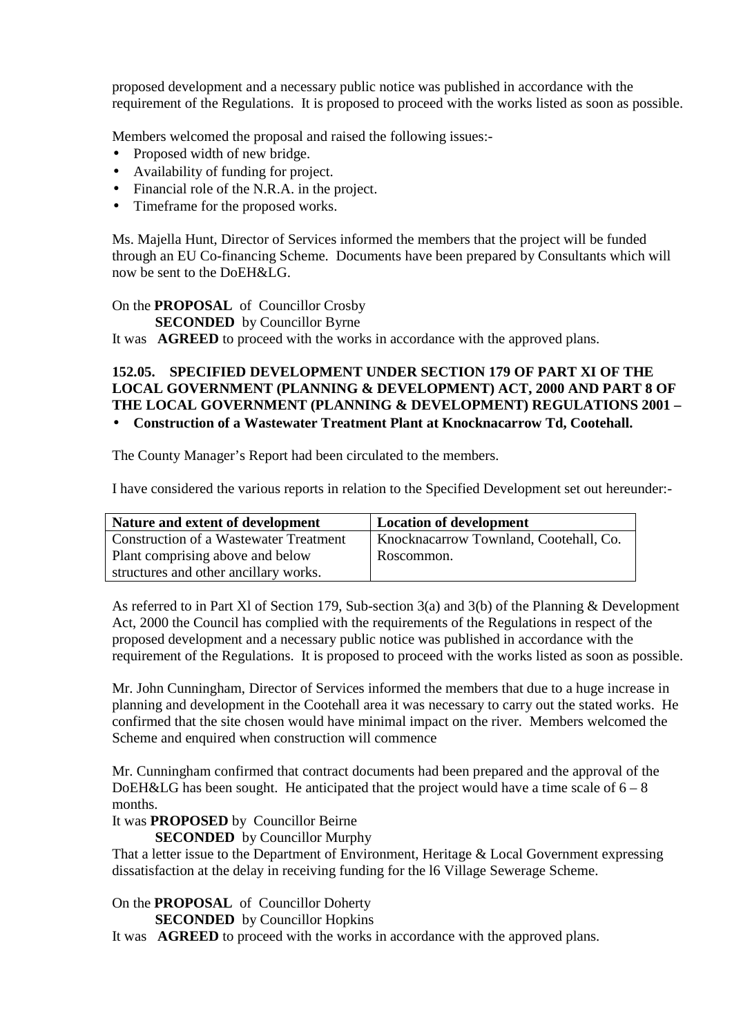proposed development and a necessary public notice was published in accordance with the requirement of the Regulations. It is proposed to proceed with the works listed as soon as possible.

Members welcomed the proposal and raised the following issues:-

- Proposed width of new bridge.
- Availability of funding for project.
- Financial role of the N.R.A. in the project.
- Timeframe for the proposed works.

Ms. Majella Hunt, Director of Services informed the members that the project will be funded through an EU Co-financing Scheme. Documents have been prepared by Consultants which will now be sent to the DoEH&LG.

On the **PROPOSAL** of Councillor Crosby

**SECONDED** by Councillor Byrne

It was **AGREED** to proceed with the works in accordance with the approved plans.

# **152.05. SPECIFIED DEVELOPMENT UNDER SECTION 179 OF PART XI OF THE LOCAL GOVERNMENT (PLANNING & DEVELOPMENT) ACT, 2000 AND PART 8 OF THE LOCAL GOVERNMENT (PLANNING & DEVELOPMENT) REGULATIONS 2001 –**

• **Construction of a Wastewater Treatment Plant at Knocknacarrow Td, Cootehall.** 

The County Manager's Report had been circulated to the members.

I have considered the various reports in relation to the Specified Development set out hereunder:-

| Nature and extent of development              | <b>Location of development</b>         |
|-----------------------------------------------|----------------------------------------|
| <b>Construction of a Wastewater Treatment</b> | Knocknacarrow Townland, Cootehall, Co. |
| Plant comprising above and below              | Roscommon.                             |
| structures and other ancillary works.         |                                        |

As referred to in Part Xl of Section 179, Sub-section 3(a) and 3(b) of the Planning & Development Act, 2000 the Council has complied with the requirements of the Regulations in respect of the proposed development and a necessary public notice was published in accordance with the requirement of the Regulations. It is proposed to proceed with the works listed as soon as possible.

Mr. John Cunningham, Director of Services informed the members that due to a huge increase in planning and development in the Cootehall area it was necessary to carry out the stated works. He confirmed that the site chosen would have minimal impact on the river. Members welcomed the Scheme and enquired when construction will commence

Mr. Cunningham confirmed that contract documents had been prepared and the approval of the DoEH&LG has been sought. He anticipated that the project would have a time scale of  $6 - 8$ months.

#### It was **PROPOSED** by Councillor Beirne

**SECONDED** by Councillor Murphy

That a letter issue to the Department of Environment, Heritage & Local Government expressing dissatisfaction at the delay in receiving funding for the l6 Village Sewerage Scheme.

On the **PROPOSAL** of Councillor Doherty

**SECONDED** by Councillor Hopkins

It was **AGREED** to proceed with the works in accordance with the approved plans.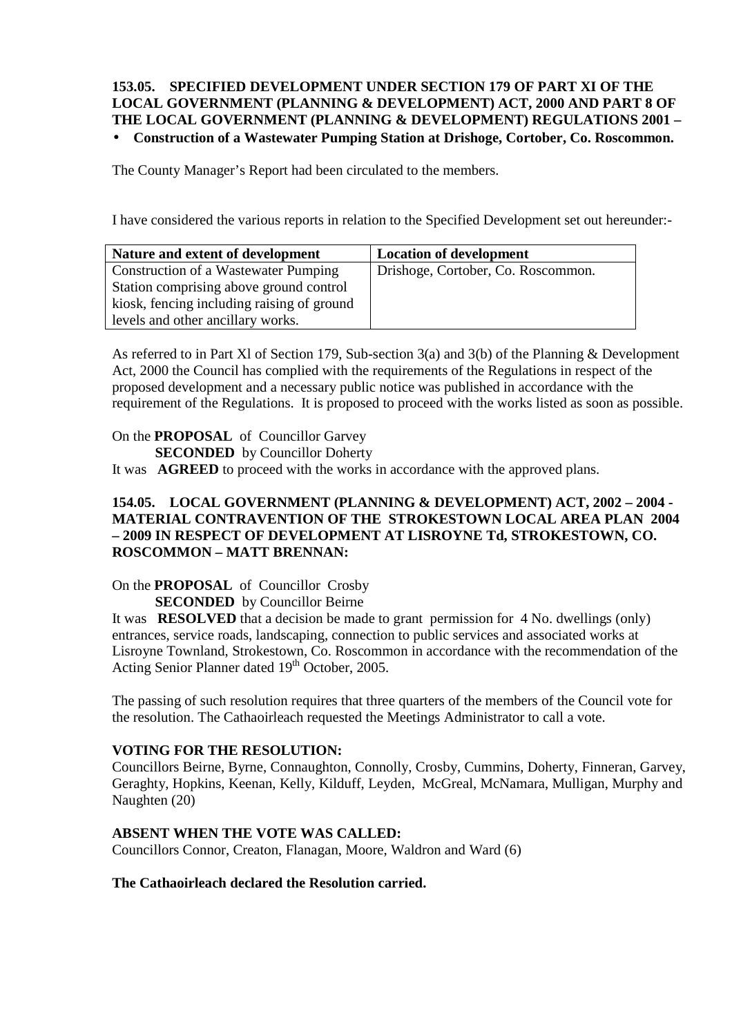## **153.05. SPECIFIED DEVELOPMENT UNDER SECTION 179 OF PART XI OF THE LOCAL GOVERNMENT (PLANNING & DEVELOPMENT) ACT, 2000 AND PART 8 OF THE LOCAL GOVERNMENT (PLANNING & DEVELOPMENT) REGULATIONS 2001 –**  • **Construction of a Wastewater Pumping Station at Drishoge, Cortober, Co. Roscommon.**

The County Manager's Report had been circulated to the members.

I have considered the various reports in relation to the Specified Development set out hereunder:-

| Nature and extent of development           | <b>Location of development</b>     |
|--------------------------------------------|------------------------------------|
| Construction of a Wastewater Pumping       | Drishoge, Cortober, Co. Roscommon. |
| Station comprising above ground control    |                                    |
| kiosk, fencing including raising of ground |                                    |
| levels and other ancillary works.          |                                    |

As referred to in Part Xl of Section 179, Sub-section 3(a) and 3(b) of the Planning & Development Act, 2000 the Council has complied with the requirements of the Regulations in respect of the proposed development and a necessary public notice was published in accordance with the requirement of the Regulations. It is proposed to proceed with the works listed as soon as possible.

On the **PROPOSAL** of Councillor Garvey

**SECONDED** by Councillor Doherty

It was **AGREED** to proceed with the works in accordance with the approved plans.

### **154.05. LOCAL GOVERNMENT (PLANNING & DEVELOPMENT) ACT, 2002 – 2004 - MATERIAL CONTRAVENTION OF THE STROKESTOWN LOCAL AREA PLAN 2004 – 2009 IN RESPECT OF DEVELOPMENT AT LISROYNE Td, STROKESTOWN, CO. ROSCOMMON – MATT BRENNAN:**

On the **PROPOSAL** of Councillor Crosby

**SECONDED** by Councillor Beirne

It was **RESOLVED** that a decision be made to grant permission for 4 No. dwellings (only) entrances, service roads, landscaping, connection to public services and associated works at Lisroyne Townland, Strokestown, Co. Roscommon in accordance with the recommendation of the Acting Senior Planner dated 19<sup>th</sup> October, 2005.

The passing of such resolution requires that three quarters of the members of the Council vote for the resolution. The Cathaoirleach requested the Meetings Administrator to call a vote.

### **VOTING FOR THE RESOLUTION:**

Councillors Beirne, Byrne, Connaughton, Connolly, Crosby, Cummins, Doherty, Finneran, Garvey, Geraghty, Hopkins, Keenan, Kelly, Kilduff, Leyden, McGreal, McNamara, Mulligan, Murphy and Naughten (20)

#### **ABSENT WHEN THE VOTE WAS CALLED:**

Councillors Connor, Creaton, Flanagan, Moore, Waldron and Ward (6)

#### **The Cathaoirleach declared the Resolution carried.**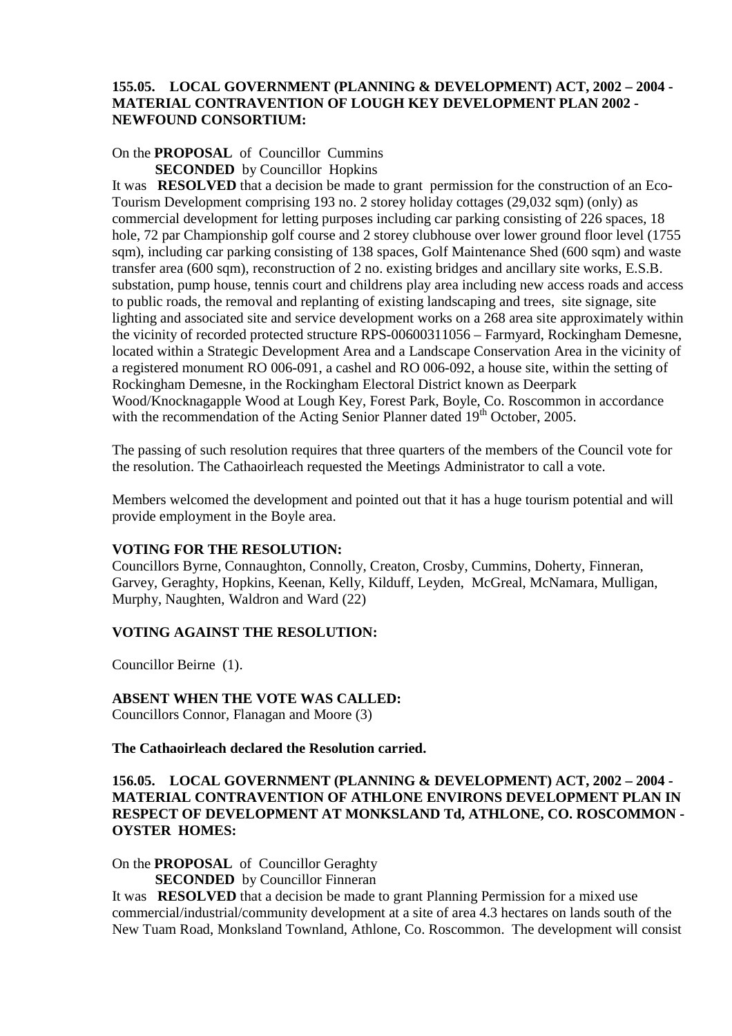#### **155.05. LOCAL GOVERNMENT (PLANNING & DEVELOPMENT) ACT, 2002 – 2004 - MATERIAL CONTRAVENTION OF LOUGH KEY DEVELOPMENT PLAN 2002 - NEWFOUND CONSORTIUM:**

# On the **PROPOSAL** of Councillor Cummins

**SECONDED** by Councillor Hopkins

It was **RESOLVED** that a decision be made to grant permission for the construction of an Eco-Tourism Development comprising 193 no. 2 storey holiday cottages (29,032 sqm) (only) as commercial development for letting purposes including car parking consisting of 226 spaces, 18 hole, 72 par Championship golf course and 2 storey clubhouse over lower ground floor level (1755 sqm), including car parking consisting of 138 spaces, Golf Maintenance Shed (600 sqm) and waste transfer area (600 sqm), reconstruction of 2 no. existing bridges and ancillary site works, E.S.B. substation, pump house, tennis court and childrens play area including new access roads and access to public roads, the removal and replanting of existing landscaping and trees, site signage, site lighting and associated site and service development works on a 268 area site approximately within the vicinity of recorded protected structure RPS-00600311056 – Farmyard, Rockingham Demesne, located within a Strategic Development Area and a Landscape Conservation Area in the vicinity of a registered monument RO 006-091, a cashel and RO 006-092, a house site, within the setting of Rockingham Demesne, in the Rockingham Electoral District known as Deerpark Wood/Knocknagapple Wood at Lough Key, Forest Park, Boyle, Co. Roscommon in accordance with the recommendation of the Acting Senior Planner dated  $19<sup>th</sup>$  October, 2005.

The passing of such resolution requires that three quarters of the members of the Council vote for the resolution. The Cathaoirleach requested the Meetings Administrator to call a vote.

Members welcomed the development and pointed out that it has a huge tourism potential and will provide employment in the Boyle area.

#### **VOTING FOR THE RESOLUTION:**

Councillors Byrne, Connaughton, Connolly, Creaton, Crosby, Cummins, Doherty, Finneran, Garvey, Geraghty, Hopkins, Keenan, Kelly, Kilduff, Leyden, McGreal, McNamara, Mulligan, Murphy, Naughten, Waldron and Ward (22)

#### **VOTING AGAINST THE RESOLUTION:**

Councillor Beirne (1).

#### **ABSENT WHEN THE VOTE WAS CALLED:**

Councillors Connor, Flanagan and Moore (3)

**The Cathaoirleach declared the Resolution carried.** 

### **156.05. LOCAL GOVERNMENT (PLANNING & DEVELOPMENT) ACT, 2002 – 2004 - MATERIAL CONTRAVENTION OF ATHLONE ENVIRONS DEVELOPMENT PLAN IN RESPECT OF DEVELOPMENT AT MONKSLAND Td, ATHLONE, CO. ROSCOMMON - OYSTER HOMES:**

On the **PROPOSAL** of Councillor Geraghty

**SECONDED** by Councillor Finneran

It was **RESOLVED** that a decision be made to grant Planning Permission for a mixed use commercial/industrial/community development at a site of area 4.3 hectares on lands south of the New Tuam Road, Monksland Townland, Athlone, Co. Roscommon. The development will consist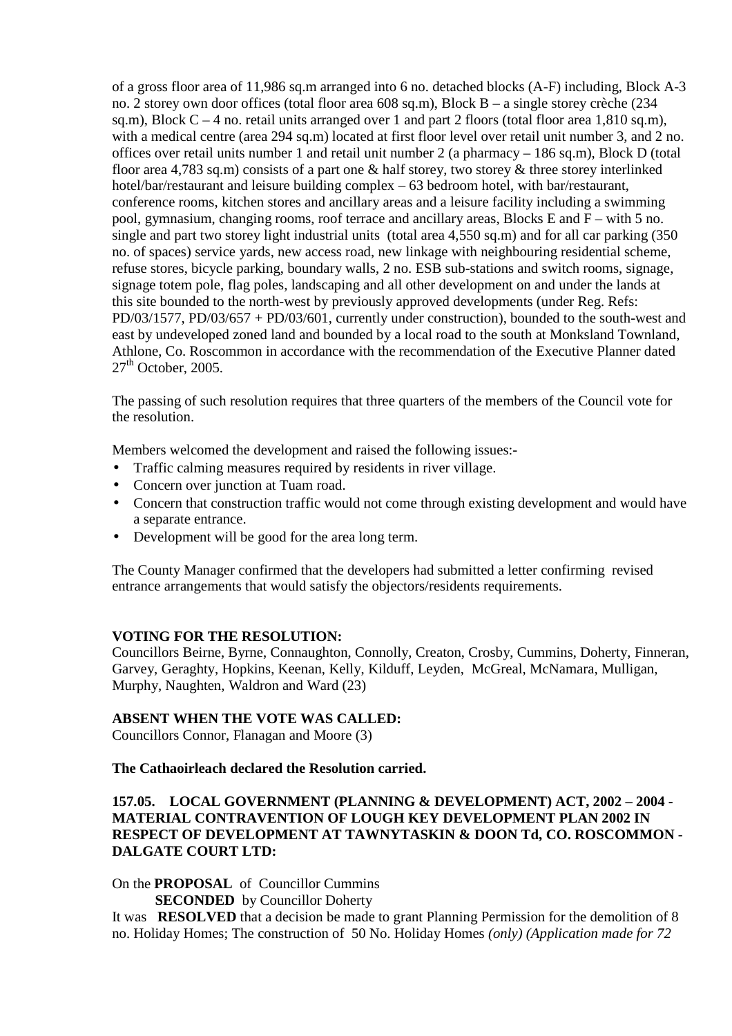of a gross floor area of 11,986 sq.m arranged into 6 no. detached blocks (A-F) including, Block A-3 no. 2 storey own door offices (total floor area 608 sq.m), Block B – a single storey crèche (234 sq.m), Block  $C - 4$  no. retail units arranged over 1 and part 2 floors (total floor area 1,810 sq.m), with a medical centre (area 294 sq.m) located at first floor level over retail unit number 3, and 2 no. offices over retail units number 1 and retail unit number 2 (a pharmacy – 186 sq.m), Block D (total floor area 4.783 sq.m) consists of a part one & half storey, two storey & three storey interlinked hotel/bar/restaurant and leisure building complex – 63 bedroom hotel, with bar/restaurant, conference rooms, kitchen stores and ancillary areas and a leisure facility including a swimming pool, gymnasium, changing rooms, roof terrace and ancillary areas, Blocks E and F – with 5 no. single and part two storey light industrial units (total area 4,550 sq.m) and for all car parking (350 no. of spaces) service yards, new access road, new linkage with neighbouring residential scheme, refuse stores, bicycle parking, boundary walls, 2 no. ESB sub-stations and switch rooms, signage, signage totem pole, flag poles, landscaping and all other development on and under the lands at this site bounded to the north-west by previously approved developments (under Reg. Refs:  $PD/03/1577$ ,  $PD/03/657 + PD/03/601$ , currently under construction), bounded to the south-west and east by undeveloped zoned land and bounded by a local road to the south at Monksland Townland, Athlone, Co. Roscommon in accordance with the recommendation of the Executive Planner dated  $27<sup>th</sup>$  October, 2005.

The passing of such resolution requires that three quarters of the members of the Council vote for the resolution.

Members welcomed the development and raised the following issues:-

- Traffic calming measures required by residents in river village.
- Concern over junction at Tuam road.
- Concern that construction traffic would not come through existing development and would have a separate entrance.
- Development will be good for the area long term.

The County Manager confirmed that the developers had submitted a letter confirming revised entrance arrangements that would satisfy the objectors/residents requirements.

### **VOTING FOR THE RESOLUTION:**

Councillors Beirne, Byrne, Connaughton, Connolly, Creaton, Crosby, Cummins, Doherty, Finneran, Garvey, Geraghty, Hopkins, Keenan, Kelly, Kilduff, Leyden, McGreal, McNamara, Mulligan, Murphy, Naughten, Waldron and Ward (23)

### **ABSENT WHEN THE VOTE WAS CALLED:**

Councillors Connor, Flanagan and Moore (3)

#### **The Cathaoirleach declared the Resolution carried.**

# **157.05. LOCAL GOVERNMENT (PLANNING & DEVELOPMENT) ACT, 2002 – 2004 - MATERIAL CONTRAVENTION OF LOUGH KEY DEVELOPMENT PLAN 2002 IN RESPECT OF DEVELOPMENT AT TAWNYTASKIN & DOON Td, CO. ROSCOMMON - DALGATE COURT LTD:**

On the **PROPOSAL** of Councillor Cummins

**SECONDED** by Councillor Doherty

It was **RESOLVED** that a decision be made to grant Planning Permission for the demolition of 8 no. Holiday Homes; The construction of 50 No. Holiday Homes *(only) (Application made for 72*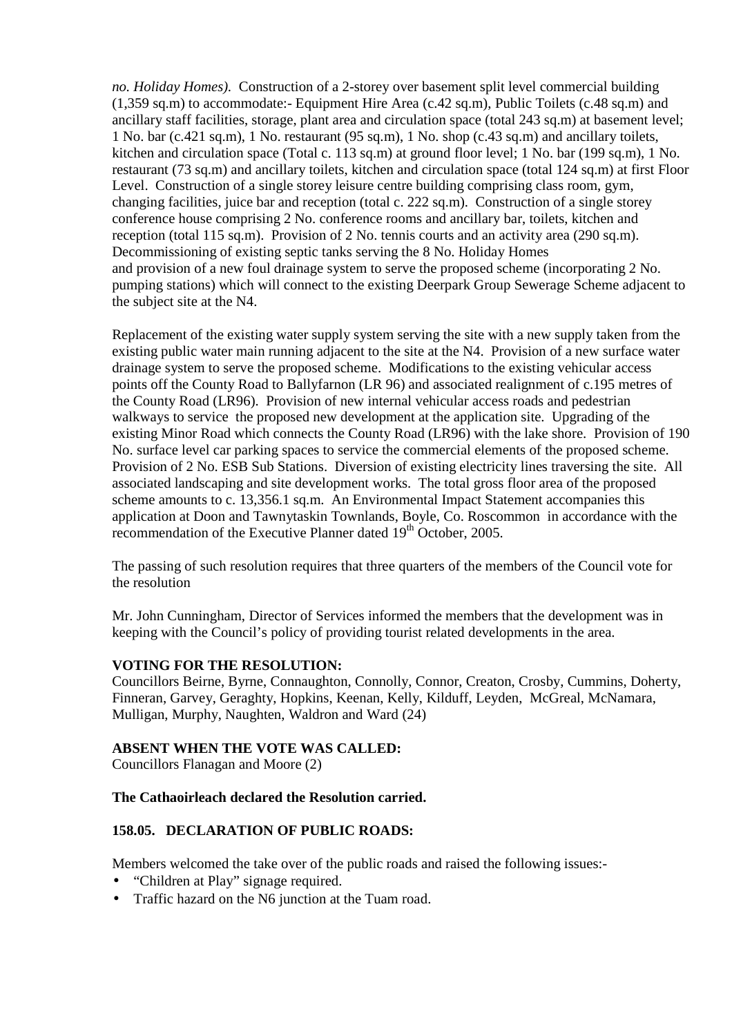*no. Holiday Homes).* Construction of a 2-storey over basement split level commercial building  $(1.359 \text{ sq.m})$  to accommodate:- Equipment Hire Area  $(c.42 \text{ sq.m})$ , Public Toilets  $(c.48 \text{ sq.m})$  and ancillary staff facilities, storage, plant area and circulation space (total 243 sq.m) at basement level; 1 No. bar (c.421 sq.m), 1 No. restaurant (95 sq.m), 1 No. shop (c.43 sq.m) and ancillary toilets, kitchen and circulation space (Total c. 113 sq.m) at ground floor level; 1 No. bar (199 sq.m), 1 No. restaurant (73 sq.m) and ancillary toilets, kitchen and circulation space (total 124 sq.m) at first Floor Level. Construction of a single storey leisure centre building comprising class room, gym, changing facilities, juice bar and reception (total c. 222 sq.m). Construction of a single storey conference house comprising 2 No. conference rooms and ancillary bar, toilets, kitchen and reception (total 115 sq.m). Provision of 2 No. tennis courts and an activity area (290 sq.m). Decommissioning of existing septic tanks serving the 8 No. Holiday Homes and provision of a new foul drainage system to serve the proposed scheme (incorporating 2 No. pumping stations) which will connect to the existing Deerpark Group Sewerage Scheme adjacent to the subject site at the N4.

Replacement of the existing water supply system serving the site with a new supply taken from the existing public water main running adjacent to the site at the N4. Provision of a new surface water drainage system to serve the proposed scheme. Modifications to the existing vehicular access points off the County Road to Ballyfarnon (LR 96) and associated realignment of c.195 metres of the County Road (LR96). Provision of new internal vehicular access roads and pedestrian walkways to service the proposed new development at the application site. Upgrading of the existing Minor Road which connects the County Road (LR96) with the lake shore. Provision of 190 No. surface level car parking spaces to service the commercial elements of the proposed scheme. Provision of 2 No. ESB Sub Stations. Diversion of existing electricity lines traversing the site. All associated landscaping and site development works. The total gross floor area of the proposed scheme amounts to c. 13,356.1 sq.m. An Environmental Impact Statement accompanies this application at Doon and Tawnytaskin Townlands, Boyle, Co. Roscommon in accordance with the recommendation of the Executive Planner dated 19<sup>th</sup> October, 2005.

The passing of such resolution requires that three quarters of the members of the Council vote for the resolution

Mr. John Cunningham, Director of Services informed the members that the development was in keeping with the Council's policy of providing tourist related developments in the area.

### **VOTING FOR THE RESOLUTION:**

Councillors Beirne, Byrne, Connaughton, Connolly, Connor, Creaton, Crosby, Cummins, Doherty, Finneran, Garvey, Geraghty, Hopkins, Keenan, Kelly, Kilduff, Leyden, McGreal, McNamara, Mulligan, Murphy, Naughten, Waldron and Ward (24)

### **ABSENT WHEN THE VOTE WAS CALLED:**

Councillors Flanagan and Moore (2)

### **The Cathaoirleach declared the Resolution carried.**

## **158.05. DECLARATION OF PUBLIC ROADS:**

Members welcomed the take over of the public roads and raised the following issues:-

- "Children at Play" signage required.
- Traffic hazard on the N6 junction at the Tuam road.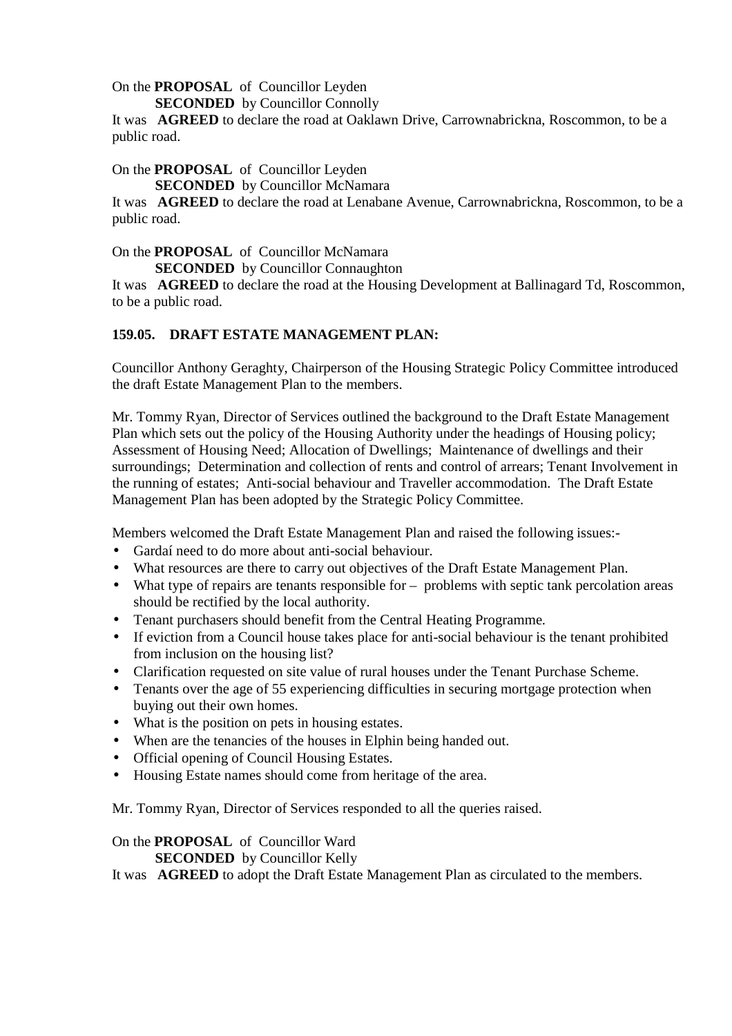On the **PROPOSAL** of Councillor Leyden

**SECONDED** by Councillor Connolly

It was **AGREED** to declare the road at Oaklawn Drive, Carrownabrickna, Roscommon, to be a public road.

#### On the **PROPOSAL** of Councillor Leyden

**SECONDED** by Councillor McNamara

It was **AGREED** to declare the road at Lenabane Avenue, Carrownabrickna, Roscommon, to be a public road.

On the **PROPOSAL** of Councillor McNamara

**SECONDED** by Councillor Connaughton

It was **AGREED** to declare the road at the Housing Development at Ballinagard Td, Roscommon, to be a public road.

## **159.05. DRAFT ESTATE MANAGEMENT PLAN:**

Councillor Anthony Geraghty, Chairperson of the Housing Strategic Policy Committee introduced the draft Estate Management Plan to the members.

Mr. Tommy Ryan, Director of Services outlined the background to the Draft Estate Management Plan which sets out the policy of the Housing Authority under the headings of Housing policy; Assessment of Housing Need; Allocation of Dwellings; Maintenance of dwellings and their surroundings; Determination and collection of rents and control of arrears; Tenant Involvement in the running of estates; Anti-social behaviour and Traveller accommodation. The Draft Estate Management Plan has been adopted by the Strategic Policy Committee.

Members welcomed the Draft Estate Management Plan and raised the following issues:-

- Gardaí need to do more about anti-social behaviour.
- What resources are there to carry out objectives of the Draft Estate Management Plan.
- What type of repairs are tenants responsible for problems with septic tank percolation areas should be rectified by the local authority.
- Tenant purchasers should benefit from the Central Heating Programme.
- If eviction from a Council house takes place for anti-social behaviour is the tenant prohibited from inclusion on the housing list?
- Clarification requested on site value of rural houses under the Tenant Purchase Scheme.
- Tenants over the age of 55 experiencing difficulties in securing mortgage protection when buying out their own homes.
- What is the position on pets in housing estates.
- When are the tenancies of the houses in Elphin being handed out.
- Official opening of Council Housing Estates.
- Housing Estate names should come from heritage of the area.

Mr. Tommy Ryan, Director of Services responded to all the queries raised.

#### On the **PROPOSAL** of Councillor Ward

**SECONDED** by Councillor Kelly

It was **AGREED** to adopt the Draft Estate Management Plan as circulated to the members.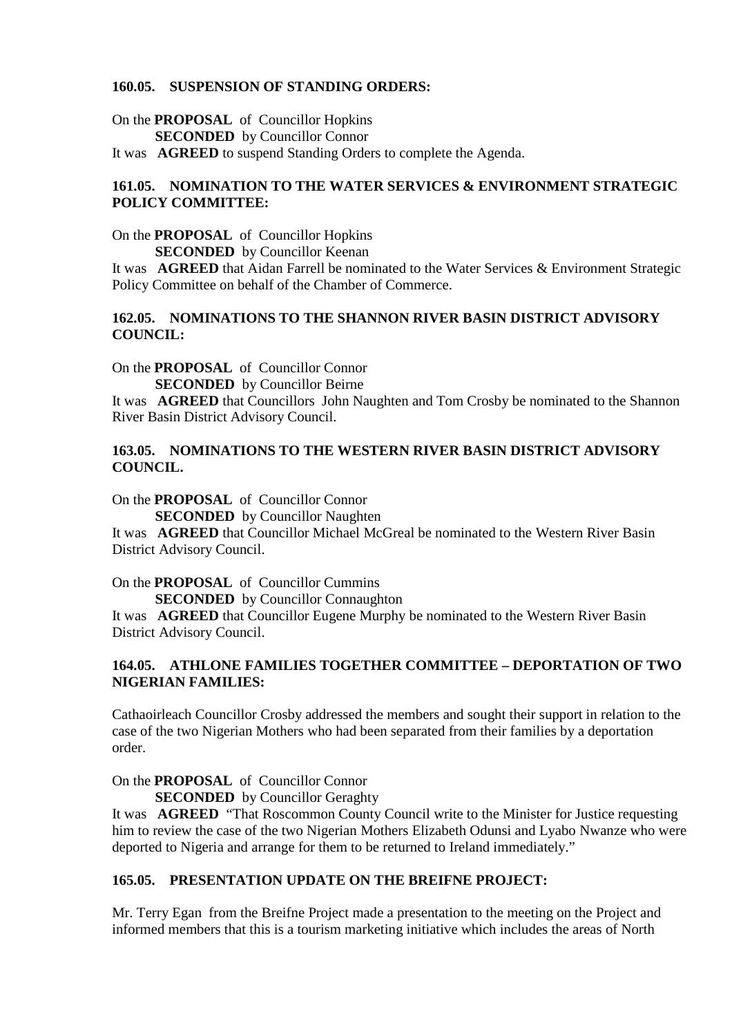#### **160.05. SUSPENSION OF STANDING ORDERS:**

On the **PROPOSAL** of Councillor Hopkins **SECONDED** by Councillor Connor

It was **AGREED** to suspend Standing Orders to complete the Agenda.

## **161.05. NOMINATION TO THE WATER SERVICES & ENVIRONMENT STRATEGIC POLICY COMMITTEE:**

On the **PROPOSAL** of Councillor Hopkins **SECONDED** by Councillor Keenan

It was **AGREED** that Aidan Farrell be nominated to the Water Services & Environment Strategic Policy Committee on behalf of the Chamber of Commerce.

#### **162.05. NOMINATIONS TO THE SHANNON RIVER BASIN DISTRICT ADVISORY COUNCIL:**

On the **PROPOSAL** of Councillor Connor

**SECONDED** by Councillor Beirne

It was **AGREED** that Councillors John Naughten and Tom Crosby be nominated to the Shannon River Basin District Advisory Council.

## **163.05. NOMINATIONS TO THE WESTERN RIVER BASIN DISTRICT ADVISORY COUNCIL.**

On the **PROPOSAL** of Councillor Connor

**SECONDED** by Councillor Naughten

It was **AGREED** that Councillor Michael McGreal be nominated to the Western River Basin District Advisory Council.

On the **PROPOSAL** of Councillor Cummins

**SECONDED** by Councillor Connaughton

It was **AGREED** that Councillor Eugene Murphy be nominated to the Western River Basin District Advisory Council.

# **164.05. ATHLONE FAMILIES TOGETHER COMMITTEE – DEPORTATION OF TWO NIGERIAN FAMILIES:**

Cathaoirleach Councillor Crosby addressed the members and sought their support in relation to the case of the two Nigerian Mothers who had been separated from their families by a deportation order.

On the **PROPOSAL** of Councillor Connor

**SECONDED** by Councillor Geraghty

It was **AGREED** "That Roscommon County Council write to the Minister for Justice requesting him to review the case of the two Nigerian Mothers Elizabeth Odunsi and Lyabo Nwanze who were deported to Nigeria and arrange for them to be returned to Ireland immediately."

## **165.05. PRESENTATION UPDATE ON THE BREIFNE PROJECT:**

Mr. Terry Egan from the Breifne Project made a presentation to the meeting on the Project and informed members that this is a tourism marketing initiative which includes the areas of North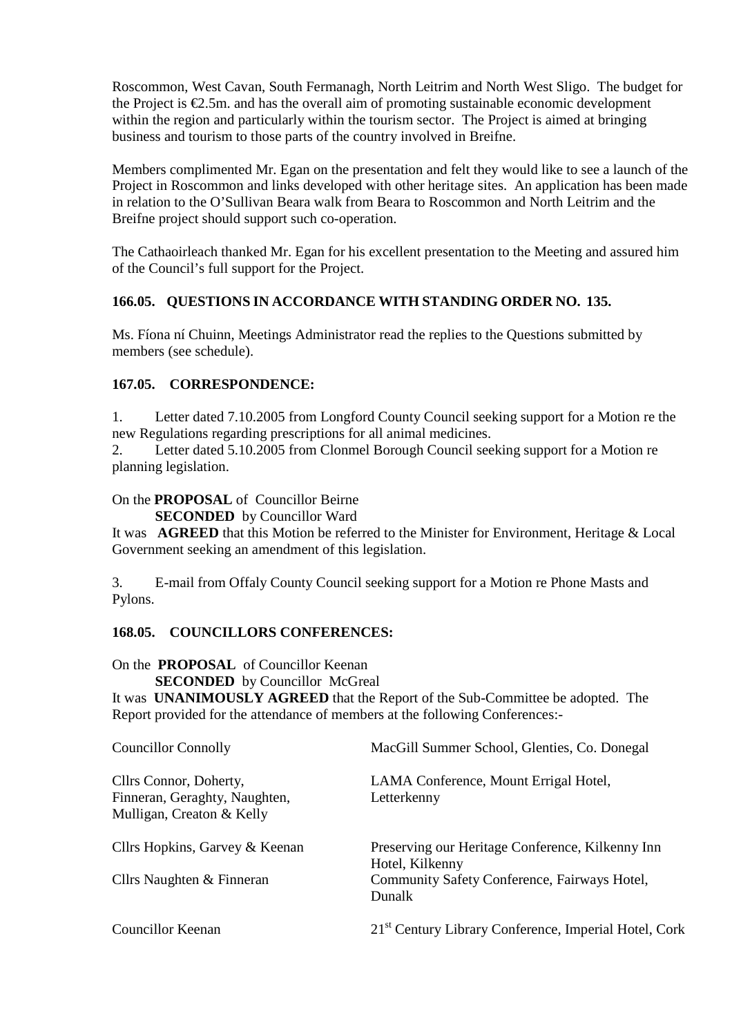Roscommon, West Cavan, South Fermanagh, North Leitrim and North West Sligo. The budget for the Project is  $\epsilon$ 2.5m, and has the overall aim of promoting sustainable economic development within the region and particularly within the tourism sector. The Project is aimed at bringing business and tourism to those parts of the country involved in Breifne.

Members complimented Mr. Egan on the presentation and felt they would like to see a launch of the Project in Roscommon and links developed with other heritage sites. An application has been made in relation to the O'Sullivan Beara walk from Beara to Roscommon and North Leitrim and the Breifne project should support such co-operation.

The Cathaoirleach thanked Mr. Egan for his excellent presentation to the Meeting and assured him of the Council's full support for the Project.

# **166.05. QUESTIONS IN ACCORDANCE WITH STANDING ORDER NO. 135.**

Ms. Fíona ní Chuinn, Meetings Administrator read the replies to the Questions submitted by members (see schedule).

# **167.05. CORRESPONDENCE:**

1. Letter dated 7.10.2005 from Longford County Council seeking support for a Motion re the new Regulations regarding prescriptions for all animal medicines.

2. Letter dated 5.10.2005 from Clonmel Borough Council seeking support for a Motion re planning legislation.

# On the **PROPOSAL** of Councillor Beirne

**SECONDED** by Councillor Ward

It was **AGREED** that this Motion be referred to the Minister for Environment, Heritage & Local Government seeking an amendment of this legislation.

3. E-mail from Offaly County Council seeking support for a Motion re Phone Masts and Pylons.

# **168.05. COUNCILLORS CONFERENCES:**

On the **PROPOSAL** of Councillor Keenan

**SECONDED** by Councillor McGreal

It was **UNANIMOUSLY AGREED** that the Report of the Sub-Committee be adopted. The Report provided for the attendance of members at the following Conferences:-

| Councillor Connolly                                        | MacGill Summer School, Glenties, Co. Donegal                        |
|------------------------------------------------------------|---------------------------------------------------------------------|
| Cllrs Connor, Doherty,                                     | LAMA Conference, Mount Errigal Hotel,                               |
| Finneran, Geraghty, Naughten,<br>Mulligan, Creaton & Kelly | Letterkenny                                                         |
| Cllrs Hopkins, Garvey & Keenan                             | Preserving our Heritage Conference, Kilkenny Inn<br>Hotel, Kilkenny |
| Cllrs Naughten & Finneran                                  | Community Safety Conference, Fairways Hotel,<br>Dunalk              |
| <b>Councillor Keenan</b>                                   | 21 <sup>st</sup> Century Library Conference, Imperial Hotel, Cork   |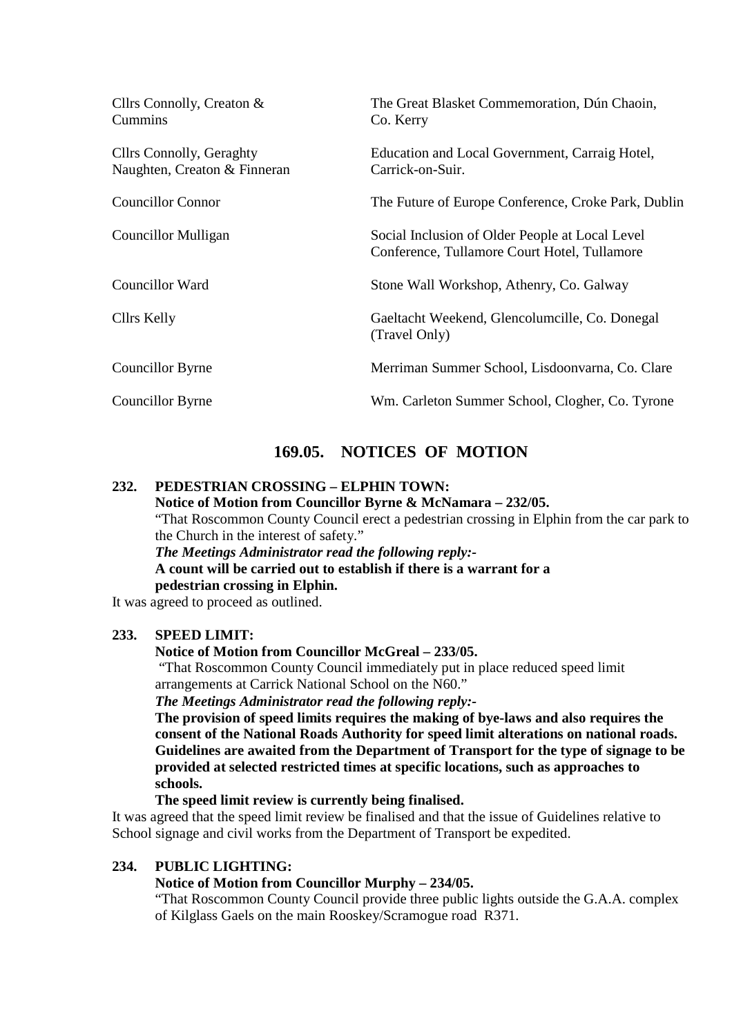| Cllrs Connolly, Creaton &<br>Cummins                            | The Great Blasket Commemoration, Dún Chaoin,<br>Co. Kerry                                       |
|-----------------------------------------------------------------|-------------------------------------------------------------------------------------------------|
| <b>Cllrs Connolly, Geraghty</b><br>Naughten, Creaton & Finneran | Education and Local Government, Carraig Hotel,<br>Carrick-on-Suir.                              |
| <b>Councillor Connor</b>                                        | The Future of Europe Conference, Croke Park, Dublin                                             |
| Councillor Mulligan                                             | Social Inclusion of Older People at Local Level<br>Conference, Tullamore Court Hotel, Tullamore |
| Councillor Ward                                                 | Stone Wall Workshop, Athenry, Co. Galway                                                        |
| Cllrs Kelly                                                     | Gaeltacht Weekend, Glencolumcille, Co. Donegal<br>(Travel Only)                                 |
| Councillor Byrne                                                | Merriman Summer School, Lisdoonvarna, Co. Clare                                                 |
| Councillor Byrne                                                | Wm. Carleton Summer School, Clogher, Co. Tyrone                                                 |

# **169.05. NOTICES OF MOTION**

# **232. PEDESTRIAN CROSSING – ELPHIN TOWN:**

 **Notice of Motion from Councillor Byrne & McNamara – 232/05.** 

"That Roscommon County Council erect a pedestrian crossing in Elphin from the car park to the Church in the interest of safety."

*The Meetings Administrator read the following reply:-*  **A count will be carried out to establish if there is a warrant for a pedestrian crossing in Elphin.** 

It was agreed to proceed as outlined.

### **233. SPEED LIMIT:**

#### **Notice of Motion from Councillor McGreal – 233/05.**

"That Roscommon County Council immediately put in place reduced speed limit arrangements at Carrick National School on the N60."

*The Meetings Administrator read the following reply:-*

**The provision of speed limits requires the making of bye-laws and also requires the consent of the National Roads Authority for speed limit alterations on national roads. Guidelines are awaited from the Department of Transport for the type of signage to be provided at selected restricted times at specific locations, such as approaches to schools.** 

#### **The speed limit review is currently being finalised.**

It was agreed that the speed limit review be finalised and that the issue of Guidelines relative to School signage and civil works from the Department of Transport be expedited.

### **234. PUBLIC LIGHTING:**

## **Notice of Motion from Councillor Murphy – 234/05.**

"That Roscommon County Council provide three public lights outside the G.A.A. complex of Kilglass Gaels on the main Rooskey/Scramogue road R371.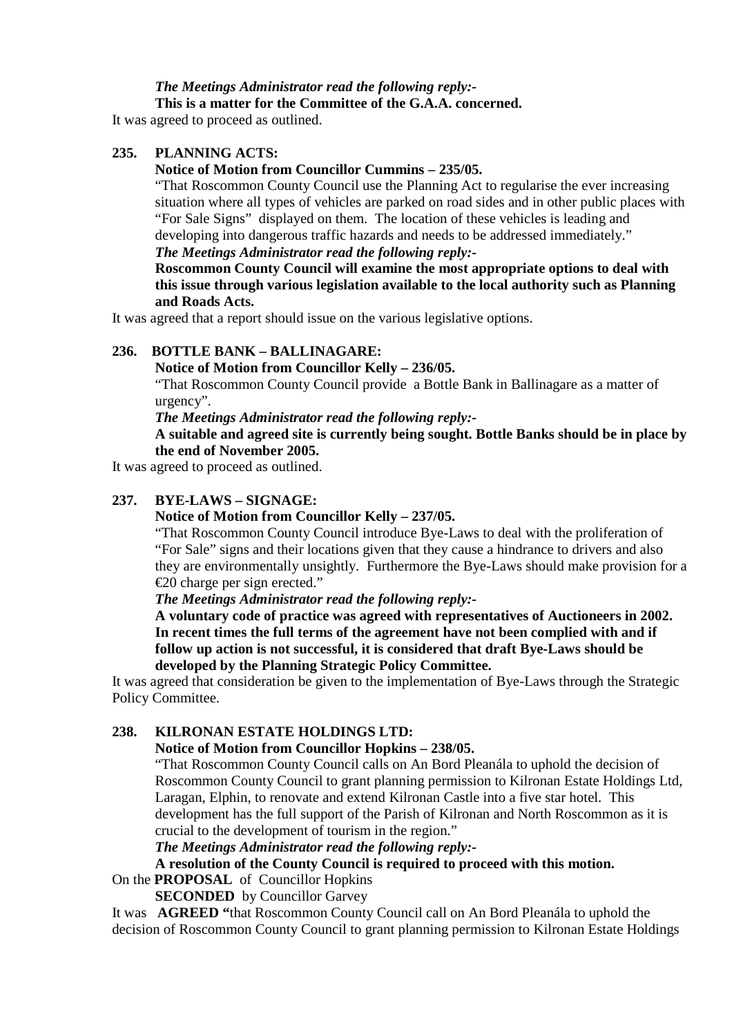# *The Meetings Administrator read the following reply:-*

 **This is a matter for the Committee of the G.A.A. concerned.** 

It was agreed to proceed as outlined.

# **235. PLANNING ACTS:**

## **Notice of Motion from Councillor Cummins – 235/05.**

"That Roscommon County Council use the Planning Act to regularise the ever increasing situation where all types of vehicles are parked on road sides and in other public places with "For Sale Signs" displayed on them. The location of these vehicles is leading and developing into dangerous traffic hazards and needs to be addressed immediately."

# *The Meetings Administrator read the following reply:-*

**Roscommon County Council will examine the most appropriate options to deal with this issue through various legislation available to the local authority such as Planning and Roads Acts.** 

It was agreed that a report should issue on the various legislative options.

# **236. BOTTLE BANK – BALLINAGARE:**

### **Notice of Motion from Councillor Kelly – 236/05.**

"That Roscommon County Council provide a Bottle Bank in Ballinagare as a matter of urgency".

*The Meetings Administrator read the following reply:-* 

# **A suitable and agreed site is currently being sought. Bottle Banks should be in place by the end of November 2005.**

It was agreed to proceed as outlined.

# **237. BYE-LAWS – SIGNAGE:**

### **Notice of Motion from Councillor Kelly – 237/05.**

"That Roscommon County Council introduce Bye-Laws to deal with the proliferation of "For Sale" signs and their locations given that they cause a hindrance to drivers and also they are environmentally unsightly. Furthermore the Bye-Laws should make provision for a €20 charge per sign erected."

# *The Meetings Administrator read the following reply:-*

**A voluntary code of practice was agreed with representatives of Auctioneers in 2002. In recent times the full terms of the agreement have not been complied with and if follow up action is not successful, it is considered that draft Bye-Laws should be developed by the Planning Strategic Policy Committee.** 

It was agreed that consideration be given to the implementation of Bye-Laws through the Strategic Policy Committee.

### **238. KILRONAN ESTATE HOLDINGS LTD:**

## **Notice of Motion from Councillor Hopkins – 238/05.**

"That Roscommon County Council calls on An Bord Pleanála to uphold the decision of Roscommon County Council to grant planning permission to Kilronan Estate Holdings Ltd, Laragan, Elphin, to renovate and extend Kilronan Castle into a five star hotel. This development has the full support of the Parish of Kilronan and North Roscommon as it is crucial to the development of tourism in the region."

### *The Meetings Administrator read the following reply:-*

### **A resolution of the County Council is required to proceed with this motion.**

# On the **PROPOSAL** of Councillor Hopkins

**SECONDED** by Councillor Garvey

It was **AGREED "**that Roscommon County Council call on An Bord Pleanála to uphold the decision of Roscommon County Council to grant planning permission to Kilronan Estate Holdings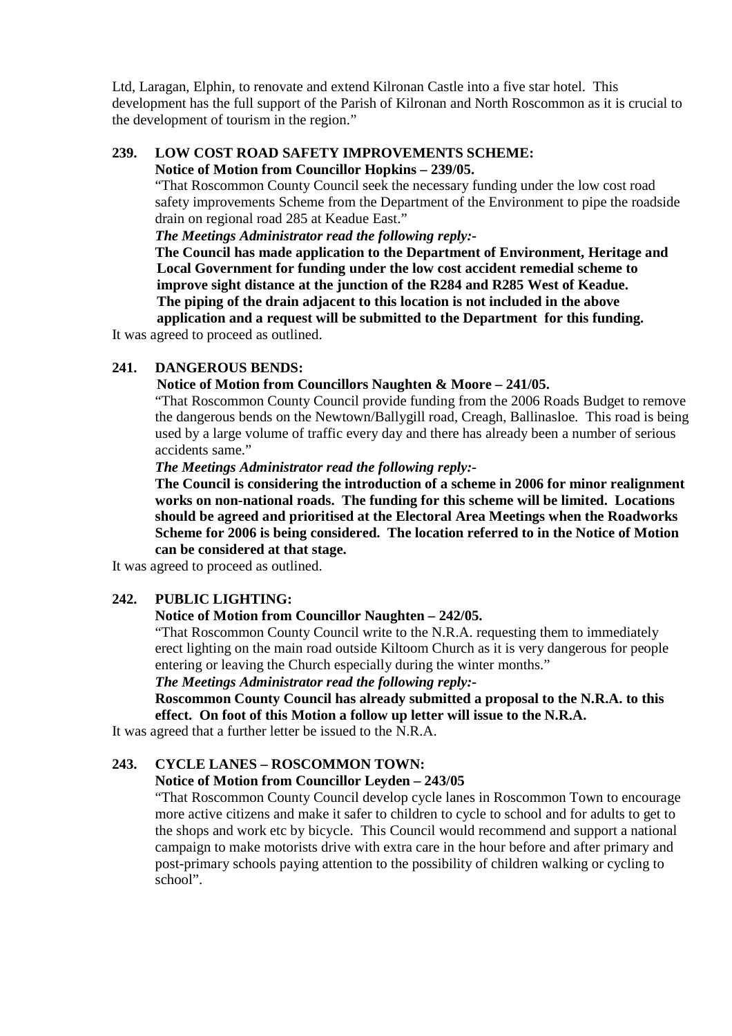Ltd, Laragan, Elphin, to renovate and extend Kilronan Castle into a five star hotel. This development has the full support of the Parish of Kilronan and North Roscommon as it is crucial to the development of tourism in the region."

#### **239. LOW COST ROAD SAFETY IMPROVEMENTS SCHEME: Notice of Motion from Councillor Hopkins – 239/05.**

"That Roscommon County Council seek the necessary funding under the low cost road safety improvements Scheme from the Department of the Environment to pipe the roadside drain on regional road 285 at Keadue East."

*The Meetings Administrator read the following reply:-* 

**The Council has made application to the Department of Environment, Heritage and Local Government for funding under the low cost accident remedial scheme to improve sight distance at the junction of the R284 and R285 West of Keadue. The piping of the drain adjacent to this location is not included in the above application and a request will be submitted to the Department for this funding.** 

It was agreed to proceed as outlined.

### **241. DANGEROUS BENDS:**

#### **Notice of Motion from Councillors Naughten & Moore – 241/05.**

"That Roscommon County Council provide funding from the 2006 Roads Budget to remove the dangerous bends on the Newtown/Ballygill road, Creagh, Ballinasloe. This road is being used by a large volume of traffic every day and there has already been a number of serious accidents same."

#### *The Meetings Administrator read the following reply:-*

**The Council is considering the introduction of a scheme in 2006 for minor realignment works on non-national roads. The funding for this scheme will be limited. Locations should be agreed and prioritised at the Electoral Area Meetings when the Roadworks Scheme for 2006 is being considered. The location referred to in the Notice of Motion can be considered at that stage.** 

It was agreed to proceed as outlined.

### **242. PUBLIC LIGHTING:**

#### **Notice of Motion from Councillor Naughten – 242/05.**

"That Roscommon County Council write to the N.R.A. requesting them to immediately erect lighting on the main road outside Kiltoom Church as it is very dangerous for people entering or leaving the Church especially during the winter months."

*The Meetings Administrator read the following reply:-* 

**Roscommon County Council has already submitted a proposal to the N.R.A. to this effect. On foot of this Motion a follow up letter will issue to the N.R.A.** 

It was agreed that a further letter be issued to the N.R.A.

### **243. CYCLE LANES – ROSCOMMON TOWN:**

#### **Notice of Motion from Councillor Leyden – 243/05**

"That Roscommon County Council develop cycle lanes in Roscommon Town to encourage more active citizens and make it safer to children to cycle to school and for adults to get to the shops and work etc by bicycle. This Council would recommend and support a national campaign to make motorists drive with extra care in the hour before and after primary and post-primary schools paying attention to the possibility of children walking or cycling to school".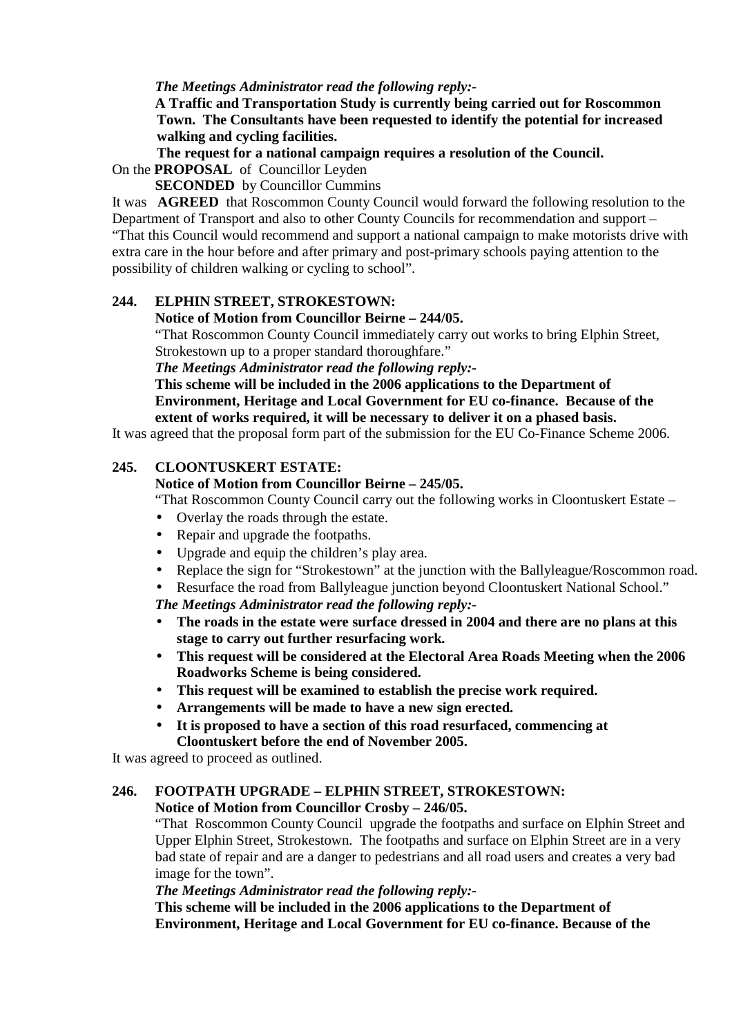## *The Meetings Administrator read the following reply:-*

**A Traffic and Transportation Study is currently being carried out for Roscommon Town. The Consultants have been requested to identify the potential for increased walking and cycling facilities.** 

**The request for a national campaign requires a resolution of the Council.**  On the **PROPOSAL** of Councillor Leyden

**SECONDED** by Councillor Cummins

It was **AGREED** that Roscommon County Council would forward the following resolution to the Department of Transport and also to other County Councils for recommendation and support – "That this Council would recommend and support a national campaign to make motorists drive with extra care in the hour before and after primary and post-primary schools paying attention to the possibility of children walking or cycling to school".

# **244. ELPHIN STREET, STROKESTOWN:**

### **Notice of Motion from Councillor Beirne – 244/05.**

"That Roscommon County Council immediately carry out works to bring Elphin Street, Strokestown up to a proper standard thoroughfare."

*The Meetings Administrator read the following reply:-* 

**This scheme will be included in the 2006 applications to the Department of Environment, Heritage and Local Government for EU co-finance. Because of the extent of works required, it will be necessary to deliver it on a phased basis.** 

It was agreed that the proposal form part of the submission for the EU Co-Finance Scheme 2006.

### **245. CLOONTUSKERT ESTATE:**

## **Notice of Motion from Councillor Beirne – 245/05.**

"That Roscommon County Council carry out the following works in Cloontuskert Estate –

- Overlay the roads through the estate.
- Repair and upgrade the footpaths.
- Upgrade and equip the children's play area.
- Replace the sign for "Strokestown" at the junction with the Ballyleague/Roscommon road.
- Resurface the road from Ballyleague junction beyond Cloontuskert National School."

*The Meetings Administrator read the following reply:-* 

- **The roads in the estate were surface dressed in 2004 and there are no plans at this stage to carry out further resurfacing work.**
- **This request will be considered at the Electoral Area Roads Meeting when the 2006 Roadworks Scheme is being considered.**
- **This request will be examined to establish the precise work required.**
- **Arrangements will be made to have a new sign erected.**
- **It is proposed to have a section of this road resurfaced, commencing at Cloontuskert before the end of November 2005.**

It was agreed to proceed as outlined.

### **246. FOOTPATH UPGRADE – ELPHIN STREET, STROKESTOWN:**

 **Notice of Motion from Councillor Crosby – 246/05.** 

"That Roscommon County Council upgrade the footpaths and surface on Elphin Street and Upper Elphin Street, Strokestown. The footpaths and surface on Elphin Street are in a very bad state of repair and are a danger to pedestrians and all road users and creates a very bad image for the town".

*The Meetings Administrator read the following reply:-* 

**This scheme will be included in the 2006 applications to the Department of Environment, Heritage and Local Government for EU co-finance. Because of the**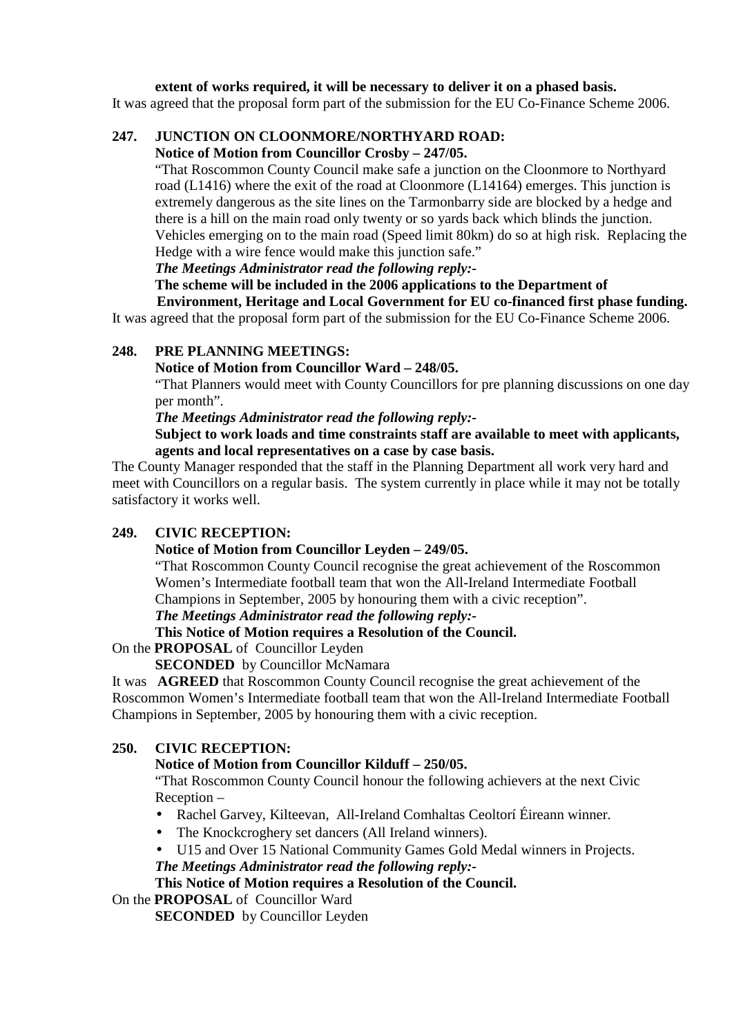## **extent of works required, it will be necessary to deliver it on a phased basis.**

It was agreed that the proposal form part of the submission for the EU Co-Finance Scheme 2006.

# **247. JUNCTION ON CLOONMORE/NORTHYARD ROAD:**

### **Notice of Motion from Councillor Crosby – 247/05.**

"That Roscommon County Council make safe a junction on the Cloonmore to Northyard road (L1416) where the exit of the road at Cloonmore (L14164) emerges. This junction is extremely dangerous as the site lines on the Tarmonbarry side are blocked by a hedge and there is a hill on the main road only twenty or so yards back which blinds the junction. Vehicles emerging on to the main road (Speed limit 80km) do so at high risk. Replacing the Hedge with a wire fence would make this junction safe."

*The Meetings Administrator read the following reply:-* 

#### **The scheme will be included in the 2006 applications to the Department of Environment, Heritage and Local Government for EU co-financed first phase funding.**

It was agreed that the proposal form part of the submission for the EU Co-Finance Scheme 2006.

# **248. PRE PLANNING MEETINGS:**

# **Notice of Motion from Councillor Ward – 248/05.**

"That Planners would meet with County Councillors for pre planning discussions on one day per month".

*The Meetings Administrator read the following reply:-* 

## **Subject to work loads and time constraints staff are available to meet with applicants, agents and local representatives on a case by case basis.**

The County Manager responded that the staff in the Planning Department all work very hard and meet with Councillors on a regular basis. The system currently in place while it may not be totally satisfactory it works well.

# **249. CIVIC RECEPTION:**

### **Notice of Motion from Councillor Leyden – 249/05.**

"That Roscommon County Council recognise the great achievement of the Roscommon Women's Intermediate football team that won the All-Ireland Intermediate Football Champions in September, 2005 by honouring them with a civic reception".

### *The Meetings Administrator read the following reply:-*

# **This Notice of Motion requires a Resolution of the Council.**

### On the **PROPOSAL** of Councillor Leyden

### **SECONDED** by Councillor McNamara

It was **AGREED** that Roscommon County Council recognise the great achievement of the Roscommon Women's Intermediate football team that won the All-Ireland Intermediate Football Champions in September, 2005 by honouring them with a civic reception.

### **250. CIVIC RECEPTION:**

### **Notice of Motion from Councillor Kilduff – 250/05.**

"That Roscommon County Council honour the following achievers at the next Civic Reception –

- Rachel Garvey, Kilteevan, All-Ireland Comhaltas Ceoltorí Éireann winner.
- The Knockcroghery set dancers (All Ireland winners).
- U15 and Over 15 National Community Games Gold Medal winners in Projects. *The Meetings Administrator read the following reply:-*

# **This Notice of Motion requires a Resolution of the Council.**

# On the **PROPOSAL** of Councillor Ward

**SECONDED** by Councillor Leyden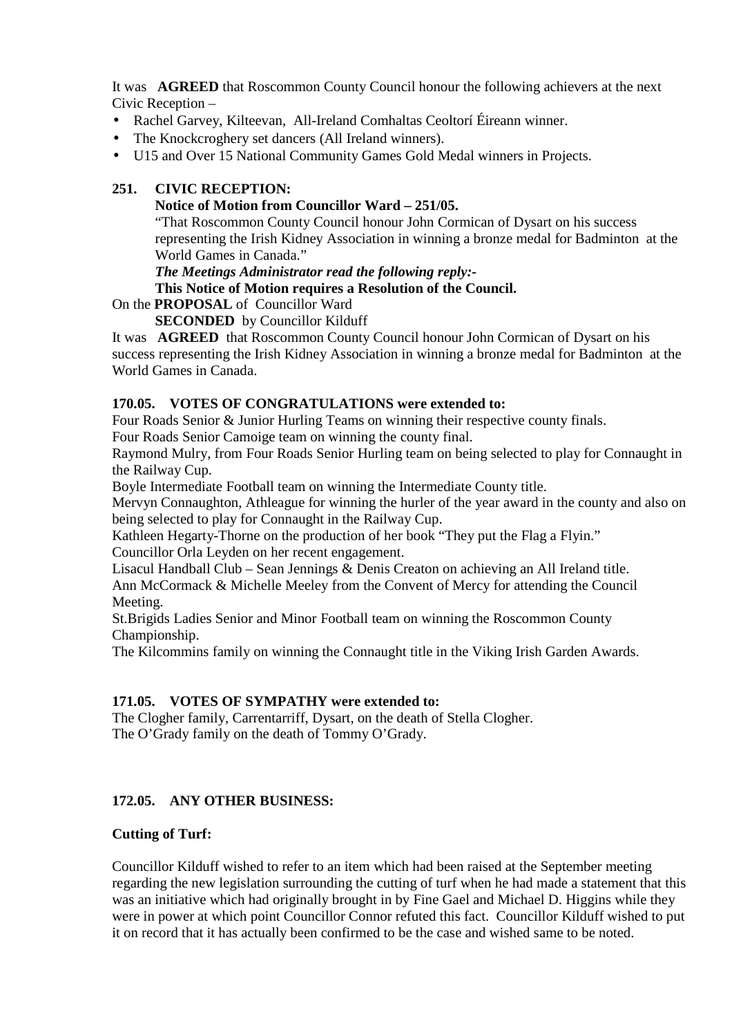It was **AGREED** that Roscommon County Council honour the following achievers at the next Civic Reception –

- Rachel Garvey, Kilteevan, All-Ireland Comhaltas Ceoltorí Éireann winner.
- The Knockcroghery set dancers (All Ireland winners).
- U15 and Over 15 National Community Games Gold Medal winners in Projects.

# **251. CIVIC RECEPTION:**

### **Notice of Motion from Councillor Ward – 251/05.**

"That Roscommon County Council honour John Cormican of Dysart on his success representing the Irish Kidney Association in winning a bronze medal for Badminton at the World Games in Canada."

*The Meetings Administrator read the following reply:-* 

# **This Notice of Motion requires a Resolution of the Council.**

On the **PROPOSAL** of Councillor Ward

**SECONDED** by Councillor Kilduff

It was **AGREED** that Roscommon County Council honour John Cormican of Dysart on his success representing the Irish Kidney Association in winning a bronze medal for Badminton at the World Games in Canada.

# **170.05. VOTES OF CONGRATULATIONS were extended to:**

Four Roads Senior & Junior Hurling Teams on winning their respective county finals.

Four Roads Senior Camoige team on winning the county final.

Raymond Mulry, from Four Roads Senior Hurling team on being selected to play for Connaught in the Railway Cup.

Boyle Intermediate Football team on winning the Intermediate County title.

Mervyn Connaughton, Athleague for winning the hurler of the year award in the county and also on being selected to play for Connaught in the Railway Cup.

Kathleen Hegarty-Thorne on the production of her book "They put the Flag a Flyin." Councillor Orla Leyden on her recent engagement.

Lisacul Handball Club – Sean Jennings & Denis Creaton on achieving an All Ireland title. Ann McCormack & Michelle Meeley from the Convent of Mercy for attending the Council Meeting.

St.Brigids Ladies Senior and Minor Football team on winning the Roscommon County Championship.

The Kilcommins family on winning the Connaught title in the Viking Irish Garden Awards.

# **171.05. VOTES OF SYMPATHY were extended to:**

The Clogher family, Carrentarriff, Dysart, on the death of Stella Clogher. The O'Grady family on the death of Tommy O'Grady.

### **172.05. ANY OTHER BUSINESS:**

### **Cutting of Turf:**

Councillor Kilduff wished to refer to an item which had been raised at the September meeting regarding the new legislation surrounding the cutting of turf when he had made a statement that this was an initiative which had originally brought in by Fine Gael and Michael D. Higgins while they were in power at which point Councillor Connor refuted this fact. Councillor Kilduff wished to put it on record that it has actually been confirmed to be the case and wished same to be noted.